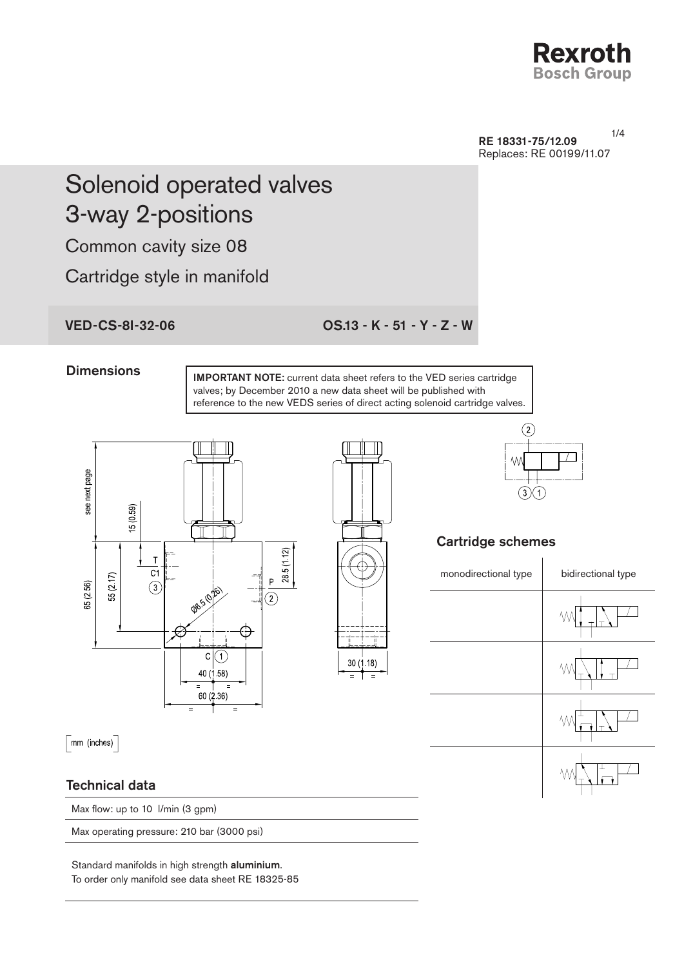

RE 18331-75/12.09 Replaces: RE 00199/11.07

1/4

# Solenoid operated valves 3-way 2-positions

Common cavity size 08

Cartridge style in manifold

VED-CS-8I-32-06 OS.13 - K - 51 - Y - Z - W

#### **Dimensions**

IMPORTANT NOTE: current data sheet refers to the VED series cartridge valves; by December 2010 a new data sheet will be published with reference to the new VEDS series of direct acting solenoid cartridge valves.



Max operating pressure: 210 bar (3000 psi)

Standard manifolds in high strength aluminium. To order only manifold see data sheet RE 18325-85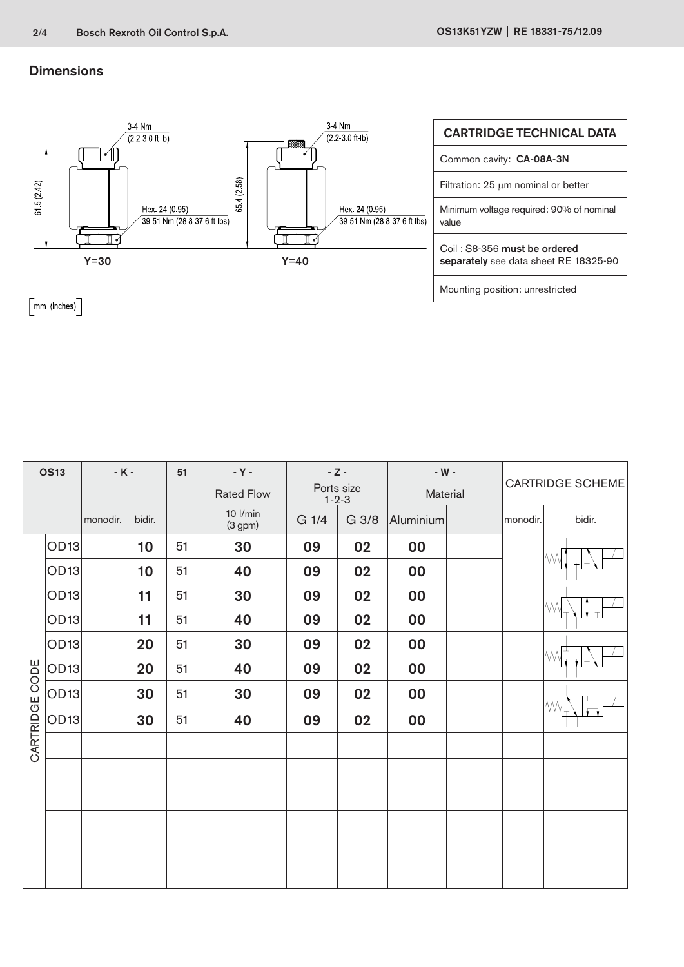### **Dimensions**



 $\lceil$ mm (inches) $\rceil$ 

| <b>OS13</b>    |                  | $-K -$   |        | 51 | - Y -<br><b>Rated Flow</b> | $-Z -$<br>Ports size<br>$1 - 2 - 3$ |       | - $W -$<br>Material |  | <b>CARTRIDGE SCHEME</b> |        |
|----------------|------------------|----------|--------|----|----------------------------|-------------------------------------|-------|---------------------|--|-------------------------|--------|
|                |                  | monodir. | bidir. |    | 10 l/min<br>(3 gpm)        | G 1/4                               | G 3/8 | Aluminium           |  | monodir.                | bidir. |
|                | OD <sub>13</sub> |          | 10     | 51 | 30                         | 09                                  | 02    | 00                  |  |                         | IW     |
|                | OD <sub>13</sub> |          | 10     | 51 | 40                         | 09                                  | 02    | 00                  |  |                         |        |
|                | OD <sub>13</sub> |          | 11     | 51 | 30                         | 09                                  | 02    | 00                  |  |                         | МW     |
|                | OD <sub>13</sub> |          | 11     | 51 | 40                         | 09                                  | 02    | 00                  |  |                         |        |
|                | OD <sub>13</sub> |          | 20     | 51 | 30                         | 09                                  | 02    | 00                  |  |                         |        |
| CARTRIDGE CODE | OD <sub>13</sub> |          | 20     | 51 | 40                         | 09                                  | 02    | 00                  |  |                         |        |
|                | OD <sub>13</sub> |          | 30     | 51 | 30                         | 09                                  | 02    | 00                  |  |                         |        |
|                | OD <sub>13</sub> |          | 30     | 51 | 40                         | 09                                  | 02    | 00                  |  |                         |        |
|                |                  |          |        |    |                            |                                     |       |                     |  |                         |        |
|                |                  |          |        |    |                            |                                     |       |                     |  |                         |        |
|                |                  |          |        |    |                            |                                     |       |                     |  |                         |        |
|                |                  |          |        |    |                            |                                     |       |                     |  |                         |        |
|                |                  |          |        |    |                            |                                     |       |                     |  |                         |        |
|                |                  |          |        |    |                            |                                     |       |                     |  |                         |        |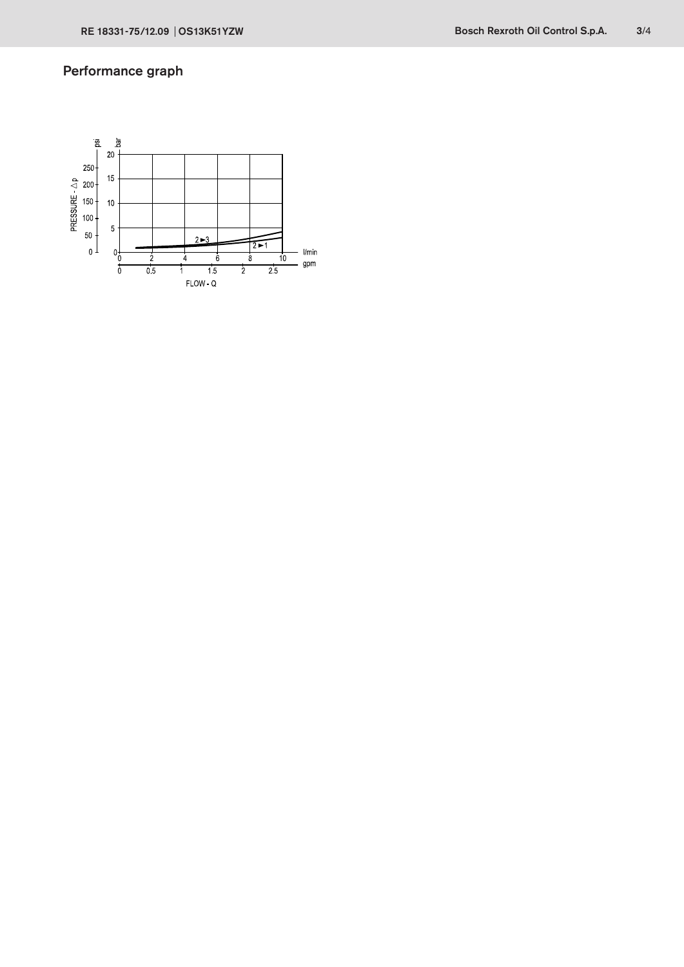## Performance graph